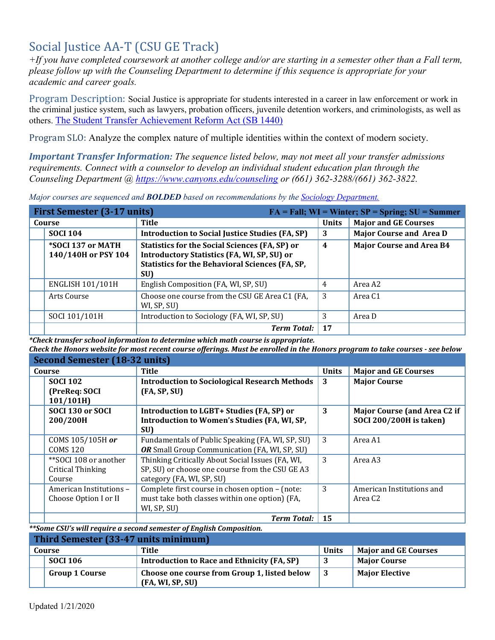# Social Justice AA-T (CSU GE Track)

*+If you have completed coursework at another college and/or are starting in a semester other than a Fall term, please follow up with the Counseling Department to determine if this sequence is appropriate for your academic and career goals.* 

 the criminal justice system, such as lawyers, probation officers, juvenile detention workers, and criminologists, as well as Program Description: Social Justice is appropriate for students interested in a career in law enforcement or work in others. [The Student Transfer Achievement Reform Act \(SB 1440\)](https://www2.calstate.edu/apply/transfer/Pages/ccc-associate-degree-for-transfer.aspx) 

Program SLO: Analyze the complex nature of multiple identities within the context of modern society.

*Important Transfer Information: The sequence listed below, may not meet all your transfer admissions requirements. Connect with a counselor to develop an individual student education plan through the Counseling Department @<https://www.canyons.edu/counseling>or (661) 362-3288/(661) 362-3822.* 

*Major courses are sequenced and BOLDED based on recommendations by the [Sociology Department.](https://www.canyons.edu/academics/sociology/index.php)* 

| <b>First Semester (3-17 units)</b><br>$FA = Fall; WI = Winter; SP = Spring; SU = Summer$ |                                                                                                                                                                              |                  |                                 |
|------------------------------------------------------------------------------------------|------------------------------------------------------------------------------------------------------------------------------------------------------------------------------|------------------|---------------------------------|
| Course                                                                                   | Title                                                                                                                                                                        | <b>Units</b>     | <b>Major and GE Courses</b>     |
| <b>SOCI 104</b>                                                                          | <b>Introduction to Social Justice Studies (FA, SP)</b>                                                                                                                       | 3                | Major Course and Area D         |
| *SOCI 137 or MATH<br>140/140H or PSY 104                                                 | <b>Statistics for the Social Sciences (FA, SP) or</b><br><b>Introductory Statistics (FA, WI, SP, SU) or</b><br><b>Statistics for the Behavioral Sciences (FA, SP,</b><br>SU) | $\boldsymbol{4}$ | <b>Major Course and Area B4</b> |
| <b>ENGLISH 101/101H</b>                                                                  | English Composition (FA, WI, SP, SU)                                                                                                                                         | 4                | Area A2                         |
| Arts Course                                                                              | Choose one course from the CSU GE Area C1 (FA,<br>WI, SP, SU)                                                                                                                | 3                | Area C1                         |
| SOCI 101/101H                                                                            | Introduction to Sociology (FA, WI, SP, SU)                                                                                                                                   | 3                | Area D                          |
|                                                                                          | <b>Term Total:</b>                                                                                                                                                           | 17               |                                 |

 *\*Check transfer school information to determine which math course is appropriate.* 

 *Check the Honors website for most recent course offerings. Must be enrolled in the Honors program to take courses - see below* 

| <b>Second Semester (18-32 units)</b> |                                                      |              |                                     |
|--------------------------------------|------------------------------------------------------|--------------|-------------------------------------|
| Course                               | Title                                                | <b>Units</b> | <b>Major and GE Courses</b>         |
| <b>SOCI 102</b>                      | <b>Introduction to Sociological Research Methods</b> | 3            | <b>Major Course</b>                 |
| (PreReq: SOCI                        | (FA, SP, SU)                                         |              |                                     |
| 101/101H                             |                                                      |              |                                     |
| SOCI 130 or SOCI                     | <b>Introduction to LGBT+ Studies (FA, SP) or</b>     | 3            | <b>Major Course (and Area C2 if</b> |
| 200/200H                             | Introduction to Women's Studies (FA, WI, SP,         |              | <b>SOCI 200/200H is taken)</b>      |
|                                      | SU)                                                  |              |                                     |
| COMS 105/105H or                     | Fundamentals of Public Speaking (FA, WI, SP, SU)     | 3            | Area A1                             |
| <b>COMS 120</b>                      | OR Small Group Communication (FA, WI, SP, SU)        |              |                                     |
| **SOCI 108 or another                | Thinking Critically About Social Issues (FA, WI,     | 3            | Area A3                             |
| Critical Thinking                    | SP, SU) or choose one course from the CSU GE A3      |              |                                     |
| Course                               | category (FA, WI, SP, SU)                            |              |                                     |
| American Institutions -              | Complete first course in chosen option - (note:      | 3            | American Institutions and           |
| Choose Option I or II                | must take both classes within one option) (FA,       |              | Area C <sub>2</sub>                 |
|                                      | WI, SP, SU)                                          |              |                                     |
|                                      | <b>Term Total:</b>                                   | 15           |                                     |

 *\*\*Some CSU's will require a second semester of English Composition.* 

| Third Semester (33-47 units minimum) |                       |                                                                  |              |                             |
|--------------------------------------|-----------------------|------------------------------------------------------------------|--------------|-----------------------------|
|                                      | Course                | Title                                                            | <b>Units</b> | <b>Major and GE Courses</b> |
|                                      | <b>SOCI 106</b>       | Introduction to Race and Ethnicity (FA, SP)                      |              | <b>Major Course</b>         |
|                                      | <b>Group 1 Course</b> | Choose one course from Group 1, listed below<br>(FA, WI, SP, SU) |              | <b>Major Elective</b>       |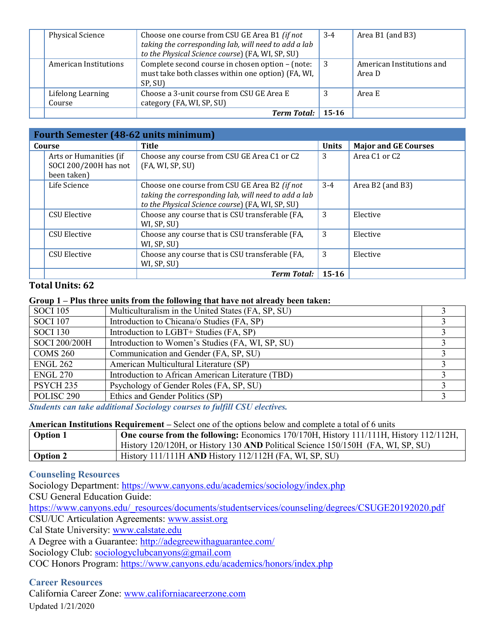| <b>Physical Science</b>     | Choose one course from CSU GE Area B1 (if not<br>taking the corresponding lab, will need to add a lab<br>to the Physical Science course) (FA, WI, SP, SU) | $3 - 4$   | Area B1 (and B3)                    |
|-----------------------------|-----------------------------------------------------------------------------------------------------------------------------------------------------------|-----------|-------------------------------------|
| American Institutions       | Complete second course in chosen option - (note:<br>must take both classes within one option) (FA, WI,<br>SP, SU)                                         | ⊢3        | American Institutions and<br>Area D |
| Lifelong Learning<br>Course | Choose a 3-unit course from CSU GE Area E<br>category (FA, WI, SP, SU)                                                                                    |           | Area E                              |
|                             | <b>Term Total:</b>                                                                                                                                        | $15 - 16$ |                                     |

| <b>Fourth Semester (48-62 units minimum)</b>                   |                                                                                                                                                           |              |                                       |
|----------------------------------------------------------------|-----------------------------------------------------------------------------------------------------------------------------------------------------------|--------------|---------------------------------------|
| Course                                                         | <b>Title</b>                                                                                                                                              | <b>Units</b> | <b>Major and GE Courses</b>           |
| Arts or Humanities (if<br>SOCI 200/200H has not<br>been taken) | Choose any course from CSU GE Area C1 or C2<br>(FA, WI, SP, SU)                                                                                           | 3            | Area C <sub>1</sub> or C <sub>2</sub> |
| Life Science                                                   | Choose one course from CSU GE Area B2 (if not<br>taking the corresponding lab, will need to add a lab<br>to the Physical Science course) (FA, WI, SP, SU) | $3 - 4$      | Area B2 (and B3)                      |
| <b>CSU Elective</b>                                            | Choose any course that is CSU transferable (FA,<br>WI, SP, SU)                                                                                            | 3            | Elective                              |
| <b>CSU Elective</b>                                            | Choose any course that is CSU transferable (FA,<br>WI, SP, SU)                                                                                            | 3            | Elective                              |
| <b>CSU Elective</b>                                            | Choose any course that is CSU transferable (FA,<br>WI, SP, SU)                                                                                            | 3            | Elective                              |
|                                                                | <b>Term Total:</b>                                                                                                                                        | $15 - 16$    |                                       |

# **Total Units: 62**

#### **Group 1 – Plus three units from the following that have not already been taken:**

| <b>SOCI 105</b>       | Multiculturalism in the United States (FA, SP, SU) |  |
|-----------------------|----------------------------------------------------|--|
| <b>SOCI 107</b>       | Introduction to Chicana/o Studies (FA, SP)         |  |
| <b>SOCI 130</b>       | Introduction to LGBT+ Studies (FA, SP)             |  |
| SOCI 200/200H         | Introduction to Women's Studies (FA, WI, SP, SU)   |  |
| COMS <sub>260</sub>   | Communication and Gender (FA, SP, SU)              |  |
| <b>ENGL 262</b>       | American Multicultural Literature (SP)             |  |
| <b>ENGL 270</b>       | Introduction to African American Literature (TBD)  |  |
| PSYCH <sub>235</sub>  | Psychology of Gender Roles (FA, SP, SU)            |  |
| POLISC <sub>290</sub> | Ethics and Gender Politics (SP)                    |  |

 *Students can take additional Sociology courses to fulfill CSU electives.* 

#### **American Institutions Requirement –** Select one of the options below and complete a total of 6 units

| <b>Option 1</b> | <b>One course from the following:</b> Economics $170/170H$ , History $11/111H$ , History $112/112H$ , |
|-----------------|-------------------------------------------------------------------------------------------------------|
|                 | History 120/120H, or History 130 AND Political Science 150/150H (FA, WI, SP, SU)                      |
| <b>Option 2</b> | History 111/111H AND History 112/112H (FA, WI, SP, SU)                                                |

## **Counseling Resources**

Sociology Department:<https://www.canyons.edu/academics/sociology/index.php> CSU General Education Guide: [https://www.canyons.edu/\\_resources/documents/studentservices/counseling/degrees/CSUGE20192020.pdf](https://www.canyons.edu/_resources/documents/studentservices/counseling/degrees/CSUGE20192020.pdf)  CSU/UC Articulation Agreements: [www.assist.org](http://www.assist.org/)  Cal State University: [www.calstate.edu](http://www.calstate.edu/)  A Degree with a Guarantee:<http://adegreewithaguarantee.com/> Sociology Club: sociologyclubcanyons@gmail.com COC Honors Program:<https://www.canyons.edu/academics/honors/index.php>

## **Career Resources**

California Career Zone: [www.californiacareerzone.com](http://www.californiacareerzone.com/)  Updated 1/21/2020